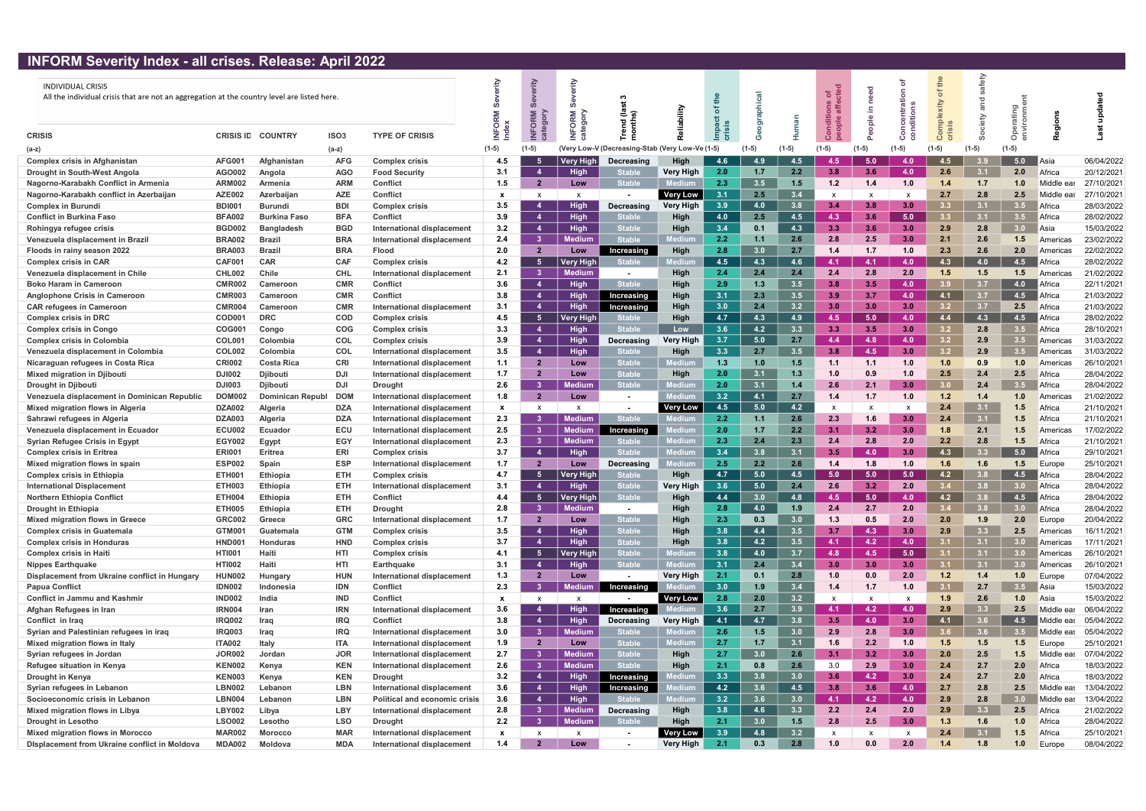## INFORM Severity Index - all crises. Release: April 2022

| <b>INDIVIDUAL CRISIS</b><br>All the individual crisis that are not an aggregation at the country level are listed here |                  |                     |                  |                                      |              | erity<br>ശ്               | rity<br><b>ORM</b><br>agory | ឺ ៰                          | bility             |                  |                  |         | ಕ ಕೆ                      | ple              |                  | the<br>ិ<br>xity | fety | o                |                       |            |
|------------------------------------------------------------------------------------------------------------------------|------------------|---------------------|------------------|--------------------------------------|--------------|---------------------------|-----------------------------|------------------------------|--------------------|------------------|------------------|---------|---------------------------|------------------|------------------|------------------|------|------------------|-----------------------|------------|
| <b>CRISIS</b>                                                                                                          | <b>CRISIS ID</b> | <b>COUNTRY</b>      | ISO <sub>3</sub> | <b>TYPE OF CRISIS</b>                | Index        | INFORM                    |                             | end<br>onth                  |                    | ௨                |                  |         |                           |                  | ပ                | ပ                |      | $\circ$          |                       |            |
| (a-z)                                                                                                                  |                  |                     | $(a-z)$          |                                      | $(1-5)$      | $(1-5)$                   |                             | (Very Low-V (Decreasing-Stab | (Verv Low-Ve (1-5) |                  | (1-5)            | $(1-5)$ | (1-5)                     |                  | $(1-5)$          | $(1-5)$          |      | $(1-5)$          |                       |            |
| <b>Complex crisis in Afghanistan</b>                                                                                   | <b>AFG001</b>    | Afghanistan         | <b>AFG</b>       | <b>Complex crisis</b>                | 4.5          |                           | Very High                   | <b>Decreasing</b>            | High               | 4.6              | 49               | 4.5     | -4.5                      | 5.0              | 4.0              | 4.5              |      | 5.0              | ∎Asia                 | 06/04/2022 |
| Drought in South-West Angola                                                                                           | AGO002           | Angola              | <b>AGO</b>       | <b>Food Security</b>                 | 3.1          |                           | High                        |                              | <b>Very High</b>   | 2.0              | 1.7              | 2.2     | 3.8                       | 3.6              | 4.0              | 2.6              | 3.1  | 2.0              | Africa                | 20/12/2021 |
| Nagorno-Karabakh Conflict in Armenia                                                                                   | <b>ARM002</b>    | Armenia             | <b>ARM</b>       | Conflict                             | 1.5          | $\overline{\mathbf{2}}$   | Low                         | <b>Stable</b>                |                    | 2.3              | 3.5              | 1.5     | 1.2                       | 1.4              | 1.0              | 1.4              | 1.7  | 1.0              | Middle eas            | 27/10/2021 |
| Nagorno-Karabakh conflict in Azerbaijan                                                                                | <b>AZE002</b>    | Azerbaijan          | <b>AZE</b>       | Conflict                             | $\mathbf{x}$ | $\boldsymbol{\mathsf{x}}$ | $\boldsymbol{\mathsf{x}}$   |                              | <b>Very Low</b>    | 3.1              | 2.5              | 3.4     | $\boldsymbol{\mathsf{x}}$ |                  |                  | 2.7              | 2.8  | 2.5              | Middle ea             | 27/10/2021 |
| <b>Complex in Burundi</b>                                                                                              | <b>BDI001</b>    | <b>Burundi</b>      | <b>BDI</b>       | <b>Complex crisis</b>                | 3.5          | 4                         | <b>High</b>                 | Decreasing                   | <b>Very High</b>   | 3.9              | 4.0              | 3.8     | 3.4                       | 3.8 <sub>1</sub> | 3.0              | 3.3              | 3.1  | 3.5              | Africa                | 28/03/2022 |
| <b>Conflict in Burkina Faso</b>                                                                                        | <b>BFA002</b>    | <b>Burkina Faso</b> | <b>BFA</b>       | Conflict                             | 3.9          | $\overline{4}$            | High                        | <b>Stable</b>                | High               | 4.0              | 2.5              | 4.5     | 4.3                       | 3.6 <sub>1</sub> | 5.0              | 3.3 <sub>1</sub> | 3.1  | 3.5              | Africa                | 28/02/2022 |
| Rohingya refugee crisis                                                                                                | <b>BGD002</b>    | <b>Bangladesh</b>   | <b>BGD</b>       | International displacement           | 3.2          | -4                        | High                        | <b>Stable</b>                | High               | 3.4              | 0.1              | 4.3     | 3.3                       | 3.6              | 3.0              | 2.9              | 2.8  | 3.0 <sub>1</sub> | <b>Asia</b>           | 15/03/2022 |
| Venezuela displacement in Brazil                                                                                       | <b>BRA002</b>    | <b>Brazil</b>       | <b>BRA</b>       | International displacement           | 2.4          | -3                        | <b>Medium</b>               | <b>Stable</b>                | ledium             | 2.2              | 1.1              | 2.6     | 2.8                       | 2.5              | 3.0              | 2.1              | 2.6  | 1.5              | Americas              | 23/02/2022 |
| Floods in rainy season 2022                                                                                            | <b>BRA003</b>    | <b>Brazil</b>       | <b>BRA</b>       | <b>Flood</b>                         | 2.0          | $\overline{2}$            | Low                         | Increasing                   | High               | 2.8              | 3.0              | 2.7     | 1.4                       | 1.7              | 1.0              | 2.3              | 2.6  | 2.0              | Americas              | 22/02/2022 |
| <b>Complex crisis in CAR</b>                                                                                           | <b>CAF001</b>    | <b>CAR</b>          | <b>CAF</b>       | <b>Complex crisis</b>                | 4.2          | 5                         | Very High                   | <b>Stable</b>                |                    | 4.5              | 4.3              | 4.6     | $-4.1$                    | 4.1              | 4.0              | 4.3              | 4.0  | 4.5              | Africa                | 28/02/2022 |
| Venezuela displacement in Chile                                                                                        | <b>CHL002</b>    | Chile               | <b>CHL</b>       | International displacement           | 2.1          | -3                        | <b>Medium</b>               |                              | High               | 2.4              | 2.4              | 2.4     | 2.4                       | 2.8              | 2.0              | 1.5              | 1.5  | 1.5              | Americas              | 21/02/2022 |
| <b>Boko Haram in Cameroon</b>                                                                                          | <b>CMR002</b>    | Cameroon            | <b>CMR</b>       | Conflict                             | 3.6          | $\boldsymbol{4}$          | <b>High</b>                 | <b>Stable</b>                | <b>High</b>        | 2.9              | 1.3              | 3.5     | 3.8                       | $3.5^{\circ}$    | 4.0              | 3.9              | 3.7  | 4.0              | Africa                | 22/11/2021 |
| <b>Anglophone Crisis in Cameroon</b>                                                                                   | <b>CMR003</b>    | Cameroon            | <b>CMR</b>       | Conflict                             | 3.8          | $\overline{4}$            | <b>High</b>                 | Increasing                   | High               | 3.1              | 2.3              | 3.5     | 3.9                       | 3.7              | 4.0              | 4.1              | 3.7  | 4.5              | Africa                | 21/03/2022 |
| <b>CAR refugees in Cameroon</b>                                                                                        | <b>CMR004</b>    | Cameroon            | <b>CMR</b>       | International displacement           | 3.1          | $\overline{4}$            | <b>High</b>                 | Increasing                   | High               | 3.0              | 2.4              | 3.2     | 3.0                       | 3.0 <sub>1</sub> | 3.0              | 3.2              | 3.7  | 2.5              | Africa                | 21/03/2022 |
| <b>Complex crisis in DRC</b>                                                                                           | COD001           | <b>DRC</b>          | <b>COD</b>       | <b>Complex crisis</b>                | 4.5          | 5                         | Very High                   | <b>Stable</b>                | High               | 4.7              | 4.3              | 4.9     | 4.5                       | 5.0              | 4.0              | 4.4              | 4.3  | 4.5              | Africa                | 28/02/2022 |
| <b>Complex crisis in Congo</b>                                                                                         | COG00            | Congo               | <b>COG</b>       | <b>Complex crisis</b>                | 3.3          | 4                         | Hiah                        | <b>Stable</b>                | Low                | 3.6              | 4.2              | 3.3     | 3.3                       | 3.5              | 3.0              | 3.2              | 2.8  | $3.5^{\circ}$    | Africa                | 28/10/2021 |
| <b>Complex crisis in Colombia</b>                                                                                      | COL001           | Colombia            | <b>COL</b>       | <b>Complex crisis</b>                | 3.9          | 4                         | Hiah                        | Decreasing                   | <b>Very High</b>   | 3.7              | 5.0              | 2.7     | 4.4                       | 4.8              | 4.0              | 3.2              | 2.9  | 3.5              | Americas              | 31/03/2022 |
| Venezuela displacement in Colombia                                                                                     | <b>COL002</b>    | Colombia            | <b>COL</b>       | International displacement           | 3.5          | 4                         | <b>High</b>                 | <b>Stable</b>                | High               | 3.3              | 2.7              | 3.5     | 3.8                       | 4.5              | 3.0              | 3.2              | 2.9  | 3.5              | <b>Americas</b>       | 31/03/2022 |
| Nicaraguan refugees in Costa Rica                                                                                      | <b>CRI002</b>    | <b>Costa Rica</b>   | <b>CRI</b>       | International displacement           | 1.1          | $\overline{\mathbf{2}}$   | Low                         | <b>Stable</b>                | lediun             | 1.3              | 1.0              | 1.5     | 1.1                       | 1.1              | 1.0              | 1.0              | 0.9  | 1.0              | Americas              | 26/10/2021 |
| <b>Mixed migration in Djibouti</b>                                                                                     | <b>DJI002</b>    | <b>Djibouti</b>     | DJI              | International displacement           | 1.7          | $\overline{2}$            | Low                         | <b>Stable</b>                | High               | 2.0 <sub>1</sub> | 3.1              | 1.3     | 1.0                       | 0.9              | 1.0              | 2.5              | 2.4  | 2.5              | Africa                | 28/04/2022 |
| <b>Drought in Djibouti</b>                                                                                             | <b>DJI003</b>    | <b>Djibouti</b>     | <b>DJI</b>       | <b>Drought</b>                       | 2.6          | -3                        | <b>Medium</b>               | <b>Stable</b>                | Medium             | 2.0              | 3.1              | 1.4     | -2.6                      | 2.1              | 3.0              | 3.0              | 2.4  | 3.5              | Africa                | 28/04/2022 |
| Venezuela displacement in Dominican Republic                                                                           | <b>DOM002</b>    | Dominican Republ    | <b>DOM</b>       | International displacement           | 1.8          | - 2                       | Low                         |                              | <b>Mediur</b>      | 3.2              | 4.1              | 2.7     | 1.4                       | 1.7              | 1.0              | 1.2              | 1.4  | 1.0              | Americas              | 21/02/2022 |
| Mixed migration flows in Algeria                                                                                       | <b>DZA002</b>    | Alɑeria             | <b>DZA</b>       | International displacement           | $\mathbf{x}$ | $\boldsymbol{\mathsf{x}}$ | X                           |                              | <b>Very Low</b>    | 4.5              | 5.0              | 4.2     | x                         |                  |                  | 2.4              | 3.1  | 1.5              | Africa                | 21/10/2021 |
| Sahrawi refugees in Algeria                                                                                            | <b>DZA003</b>    | Algeria             | <b>DZA</b>       | International displacement           | 2.3          | -3                        | <b>Medium</b>               | <b>Stable</b>                | Medium             | 2.2              | 1.1              | 2.6     | 2.3                       | 1.6              | 3.0              | 2.4              | 3.1  | 1.5              | Africa                | 21/10/2021 |
| Venezuela displacement in Ecuador                                                                                      | <b>ECU002</b>    | <b>Ecuador</b>      | ECU              | International displacement           | 2.5          | - 3                       | <b>Medium</b>               | Increasing                   | ledium             | 2.0              | 1.7              | 2.2     | -3.1                      | 3.2              | 3.0              | 1.8              | 2.1  | 1.5              | Americas              | 17/02/2022 |
| <b>Syrian Refugee Crisis in Egypt</b>                                                                                  | <b>EGY002</b>    | Egypt               | <b>EGY</b>       | International displacement           | 2.3          | -3                        | <b>Mediun</b>               |                              | <b>Medium</b>      | 2.3              | 2.4              | 2.3     | 2.4                       | 2.8              | 2.0              | 2.2              | 2.8  |                  | Africa                | 21/10/2021 |
| <b>Complex crisis in Eritrea</b>                                                                                       | <b>ERI001</b>    | <b>Eritrea</b>      | ERI              | <b>Complex crisis</b>                | 3.7          | 4                         | High                        | <b>Stable</b>                |                    | 3.4              | 3.8              | 3.1     | 3.5                       | 4.0              | 3.0 <sub>1</sub> | 4.3              | 3.3  | 5.0              | ∎Africa               | 29/10/2021 |
| Mixed migration flows in spain                                                                                         | <b>ESP002</b>    | Spain               | <b>ESP</b>       | International displacement           | 1.7          | $\overline{\mathbf{2}}$   | Low                         | Decreasing                   | ledium             | 2.5              | 2.2              | 2.6     | 1.4                       | 1.8              | 1.0              | 1.6              | 1.6  | 1.5              | Europe                | 25/10/2021 |
| <b>Complex crisis in Ethiopia</b>                                                                                      | <b>ETH001</b>    | <b>Ethiopia</b>     | <b>ETH</b>       | <b>Complex crisis</b>                | 4.7          | -5                        | <b>Very High</b>            | <b>Stabl</b>                 | High               | 4.7              | 5.0              | 4.5     | 5.0                       | 5.0              | 5.0              | 4.2              |      | 4.5              | Africa                | 28/04/2022 |
| <b>International Displacement</b>                                                                                      | <b>ETH003</b>    | Ethiopia            | <b>ETH</b>       | International displacement           | 3.1          |                           | <b>High</b>                 | <b>Stable</b>                | Very High          | 3.6              | 5.0              | 2.4     | -2.6                      | 3.2              | 2.0              |                  | 3.8  | 3.0              | Africa                | 28/04/2022 |
| Northern Ethiopia Conflict                                                                                             | ETH004           | <b>Ethiopia</b>     | ETH              | <b>Conflict</b>                      | 4.4          |                           | <b>Very High</b>            |                              | High               | 4.4              |                  | 4.8     | -4.5                      |                  | 4.0              |                  |      | 4.5              | $\blacksquare$ Africa | 28/04/2022 |
| <b>Drought in Ethiopia</b>                                                                                             | <b>ETH005</b>    | <b>Ethiopia</b>     | <b>ETH</b>       | <b>Drought</b>                       | 2.8          | - 3                       | <b>Medium</b>               | $\sim$                       | <b>High</b>        | 2.8              | 4.0              | 1.9     | 2.4                       | 2.7              | 2.0              | $3.4^{\circ}$    | 3.8  | 3.0              | Africa                | 28/04/2022 |
| <b>Mixed migration flows in Greece</b>                                                                                 | <b>GRC002</b>    | Greece              | <b>GRC</b>       | International displacement           | 1.7          | $\overline{2}$            | Low                         | <b>Stable</b>                | High               | 2.3              | 0.3              | 3.0     | 1.3                       | 0.5              | 2.0              | 2.0              | 1.9  | 2.0              | Europe                | 20/04/2022 |
| <b>Complex crisis in Guatemala</b>                                                                                     | GTM001           | Guatemala           | <b>GTM</b>       | <b>Complex crisis</b>                | 3.5          | 4                         | High                        | <b>Stable</b>                | <b>High</b>        | 3.8              | 4.4              | 3.5     | 3.7                       | 4.3              | 3.0              | 2.9              | 3.3  | 2.5              | Americas              | 16/11/2021 |
| <b>Complex crisis in Honduras</b>                                                                                      | <b>HND001</b>    | Honduras            | <b>HND</b>       | <b>Complex crisis</b>                | 3.7          | $\overline{4}$            | <b>High</b>                 | <b>Stable</b>                | High               | 3.8              | 4.2              | 3.5     | 4.1                       | 4.2              | 4.0              | 3.1              | 3.1  | 3.0              | Americas              | 17/11/2021 |
| <b>Complex crisis in Haiti</b>                                                                                         | <b>HTI001</b>    | Haiti               | HTI              | <b>Complex crisis</b>                | 4.1          | - 5                       | <b>Very High</b>            | <b>Stable</b>                | lediur             | 3.8              | 4.0              | 3.7     | 4.8                       | 4.5              | 5.0              | 3.1              | 3.1  | 3.0              | Americas              | 26/10/2021 |
| <b>Nippes Earthquake</b>                                                                                               | <b>HTI002</b>    | Haiti               | HTI              | Earthquake                           | 3.1          | $\overline{4}$            | <b>High</b>                 | <b>Stable</b>                | Mediun             | 3.1              | 2.4              | 3.4     | 3.0                       | 3.0              | 3.0              | 3.1              | 3.1  | 3.0              | Americas              | 26/10/2021 |
| Displacement from Ukraine conflict in Hungary                                                                          | <b>HUN002</b>    | <b>Hungary</b>      | <b>HUN</b>       | International displacement           | 1.3          | -2                        | Low                         |                              | <b>Very High</b>   | 2.1              | 0.1              | 2.8     | 1.0                       | 0.0              | 2.0              | 1.2              | 1.4  | 1.0              | Europe                | 07/04/2022 |
| Papua Conflict                                                                                                         | <b>IDN002</b>    | Indonesia           | <b>IDN</b>       | Conflict                             | 2.3          | - 3                       | <b>Medium</b>               | Increasing                   |                    | 3.0              | 1.9              | 3.4     | 1.4                       | 1.7              | 1.0              | 3.1              | 2.7  | 3.5              | ∥Asia                 | 15/03/2022 |
| <b>Conflict in Jammu and Kashmir</b>                                                                                   | <b>IND002</b>    | India               | <b>IND</b>       | Conflict                             | $\mathbf{x}$ | $\mathsf{x}$              | $\mathsf{x}$                |                              | <b>Very Low</b>    | 2.8              | 2.0              | 3.2     | $\boldsymbol{\mathsf{x}}$ |                  |                  | 1.9              | 2.6  | 1.0              | Asia                  | 15/03/2022 |
| Afghan Refugees in Iran                                                                                                | <b>IRN004</b>    | Iran                | <b>IRN</b>       | International displacement           | 3.6          | -4                        | <b>High</b>                 | Increasing                   |                    | 3.6              | 2.7              | 3.9     | 4.1                       | 4.2              | 4.0 <sub>1</sub> | 2.9              | 3.3  | 2.5              | Middle eas            | 06/04/2022 |
| Conflict in Iraq                                                                                                       | <b>IRQ002</b>    | Iraq                | <b>IRQ</b>       | Conflict                             | 3.8          | 4                         | High                        | Decreasing                   | <b>Very High</b>   | 4.1              | 4.7              | 3.8     | 3.5                       | 4.0              | 3.0              | 4.1              | 3.6  | 4.5              | Middle eas            | 05/04/2022 |
| Syrian and Palestinian refugees in iraq                                                                                | <b>IRQ003</b>    | Iraq                | <b>IRQ</b>       | International displacement           | 3.0          | - 3                       | <b>Medium</b>               | <b>Stable</b>                | Medium             | 2.6              | 1.5              | 3.0     | 2.9                       | 2.8              | 3.0              | 3.6 <sup>°</sup> | 3.6  | 3.5              | Middle eas            | 05/04/2022 |
| Mixed migration flows in Italy                                                                                         | <b>ITA002</b>    | <b>Italy</b>        | <b>ITA</b>       | International displacement           | 1.9          | $\overline{2}$            | Low                         | <b>Stable</b>                | Medium             | 2.7              | 1.7              | 3.1     | 1.6                       | 2.2              | 1.0              | 1.5              | 1.5  | 1.5              | Europe                | 25/10/2021 |
| Syrian refugees in Jordan                                                                                              | <b>JOR002</b>    | Jordan              | <b>JOR</b>       | International displacement           | 2.7          | -3                        | <b>Medium</b>               | <b>Stable</b>                | High               | 2.7              | 3.0              | 2.6     | 3.1                       | 3.2              | 3.0              | 2.0              | 2.5  | 1.5              | Middle eas            | 07/04/2022 |
| Refugee situation in Kenya                                                                                             | <b>KEN002</b>    | Kenya               | <b>KEN</b>       | International displacement           | 2.6          | -3                        | <b>Medium</b>               | <b>Stable</b>                | High               | 2.1              | 0.8              | 2.6     | 3.0                       | 2.9              | 3.0              | 2.4              | 2.7  | 2.0              | Africa                | 18/03/2022 |
| Drought in Kenya                                                                                                       | <b>KEN003</b>    | Kenya               | <b>KEN</b>       | <b>Drought</b>                       | 3.2          | $\overline{4}$            | <b>High</b>                 | Increasing                   |                    | 3.3              | 3.8 <sub>0</sub> | 3.0     | 3.6                       | 4.2              | 3.0              | 2.4              | 2.7  | 2.0              | Africa                | 18/03/2022 |
| Syrian refugees in Lebanon                                                                                             | <b>LBN002</b>    | Lebanon             | <b>LBN</b>       | International displacement           | 3.6          | $\overline{4}$            | <b>High</b>                 | Increasing                   | lediu              | 4.2              | 3.6              | 4.5     | 3.8                       | 3.6              | 4.0              | 2.7              | 2.8  | 2.5              | Middle eas            | 13/04/2022 |
| Socioeconomic crisis in Lebanon                                                                                        | <b>LBN004</b>    | Lebanon             | <b>LBN</b>       | <b>Political and economic crisis</b> | 3.6          | 4                         | <b>High</b>                 | <b>Stable</b>                | Mediun             | 3.2              | 3.6              | 3.0     | 4.1                       | 4.2              | 4.0              | 2.9              | 2.8  | 3.0              | Middle                | 13/04/2022 |
| Mixed migration flows in Libya                                                                                         | <b>LBY002</b>    | Libya               | <b>LBY</b>       | International displacement           | 2.8          | - 3                       | <b>Medium</b>               | Decreasing                   | High               | 3.8              | 4.6              | 3.3     | 2.2                       | 2.4              | 2.0              | 2.9              | 3.3  | 2.5              | Africa                | 21/02/2022 |
| <b>Drought in Lesotho</b>                                                                                              | <b>LSO002</b>    | Lesotho             | <b>LSO</b>       | <b>Drought</b>                       | 2.2          | -3                        | <b>Mediun</b>               | <b>Stable</b>                | High               | 2.1              | 3.0              | 1.5     | 2.8                       | 2.5              | 3.0              | 1.3              | 1.6  | 1.0              | Africa                | 28/04/2022 |
| <b>Mixed migration flows in Morocco</b>                                                                                | <b>MAR002</b>    | <b>Morocco</b>      | <b>MAR</b>       | <b>International displacement</b>    | $\mathbf{x}$ | $\boldsymbol{\mathsf{x}}$ | $\mathsf{X}$                |                              | <b>Very Low</b>    | 3.9              | 4.8              | 3.2     | $\boldsymbol{\mathsf{x}}$ | x                | $\mathsf{x}$     | 2.4              | 3.1  |                  | Africa                | 25/10/2021 |
| <b>Displacement from Ukraine conflict in Moldova</b>                                                                   | <b>MDA002</b>    | Moldova             | <b>MDA</b>       | International displacement           | 1.4          |                           | Low                         |                              | <b>Very High</b>   | 2.1              | 0.3              | 2.8     | 1.0                       | 0.0              | 2.0              | 1.4              | 1.8  | 1.0 <sub>1</sub> | Europe                | 08/04/2022 |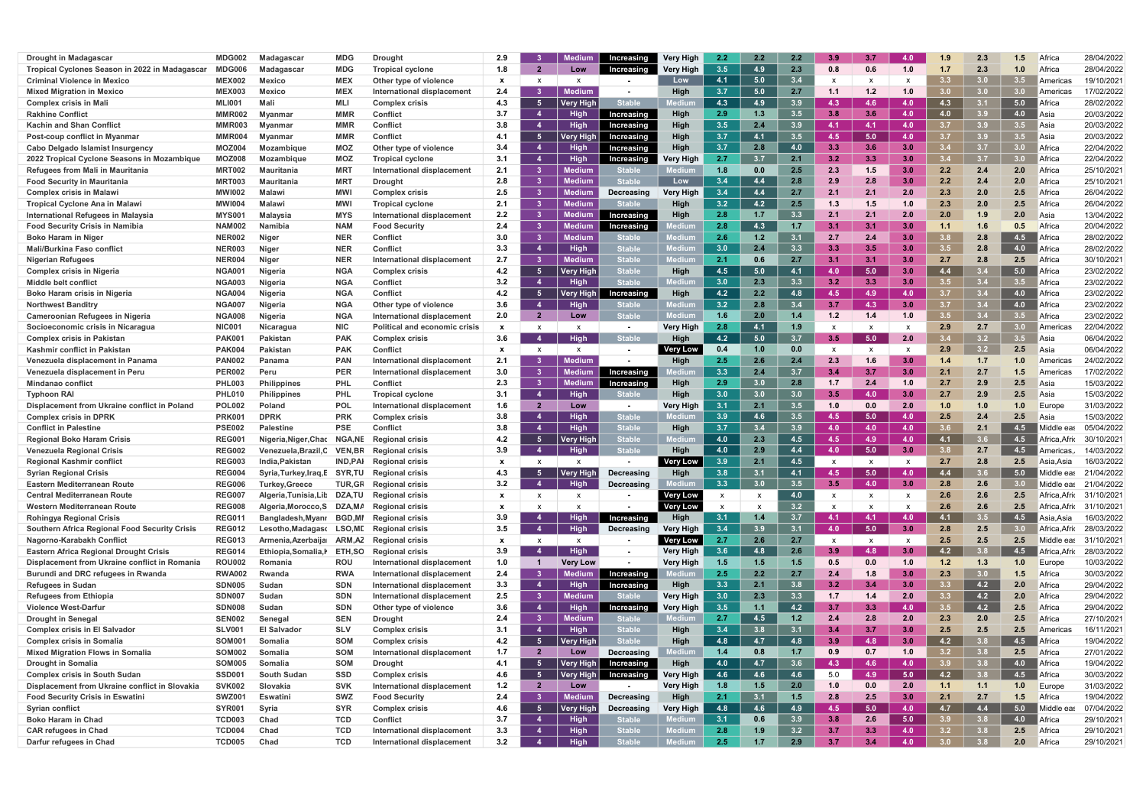| <b>Drought in Madagascar</b>                         | <b>MDG002</b> | Madagascar             | MDG           | <b>Drought</b>                    | 2.9          |                | Medium           | Increasing        | <b>Verv High</b> | $2.2^{\circ}$             | 2.2   | 2.2  | -3.9                      | 3.7              | 4.0                       | 1.9              | 2.3 | 1.5              | Africa                | 28/04/2022 |
|------------------------------------------------------|---------------|------------------------|---------------|-----------------------------------|--------------|----------------|------------------|-------------------|------------------|---------------------------|-------|------|---------------------------|------------------|---------------------------|------------------|-----|------------------|-----------------------|------------|
| Tropical Cyclones Season in 2022 in Madagascar       | MDG006        | <b>/ladagascar</b>     | <b>MDG</b>    | <b>Tropical cyclone</b>           | 1.8          | $\overline{2}$ | Low              | Increasing        | Very High        | 3.5                       | 4.9   | 2.3  | 0.8                       | 0.6              | 1.0                       | 1.7              | 2.3 | 1.0 <sub>1</sub> | Africa                | 28/04/2022 |
| <b>Criminal Violence in Mexico</b>                   | <b>MEX002</b> | <b>Mexico</b>          | <b>MEX</b>    | Other type of violence            | $\mathbf{x}$ | x              | X                |                   | Low              | 4.1                       | 5.0   | 3.4  | $\boldsymbol{\mathsf{x}}$ |                  | x                         | 3.3              | 3.0 | 3.5              | l Americas            | 19/10/2021 |
| <b>Mixed Migration in Mexico</b>                     | <b>MEX003</b> | <b>Mexico</b>          | <b>MEX</b>    | <b>International displacement</b> | 2.4          |                | Mediun           | $\sim$            | High             | 3.7                       | 5.0   | 2.7  | 1.1                       | 1.2              | 1.0                       | 3.0 <sub>2</sub> | 3.0 | 3.0              | Americas              | 17/02/2022 |
| <b>Complex crisis in Mali</b>                        | <b>MLI001</b> | Mali                   | MLI           | <b>Complex crisis</b>             | 4.3          | -5             | <b>Very High</b> | Stable            |                  | 4.3                       | 4.9   | 3.9  | -4.3                      | 4.6              | 4.0                       | 4.3              | 3.1 | 5.0              | Africa                | 28/02/2022 |
| <b>Rakhine Conflict</b>                              | <b>MMR002</b> | <b>M</b> vanmar        | <b>MMR</b>    | Conflict                          | 3.7          | $\overline{4}$ | <b>High</b>      | Increasing        | High             | 2.9                       | 1.3   | 3.5  | 3.8                       | 3.6              | 4.0                       | 4.0              | 3.9 | 4.0              | l Asia                | 20/03/2022 |
| <b>Kachin and Shan Conflict</b>                      | MMR003        | Mvanmar                | <b>MMR</b>    | Conflict                          | 3.8          | $\overline{4}$ | High             | Increasing        | High             | 3.5                       | 2.4   | 3.9  | $-4.1$                    | 4.1              | 4.0                       | 3.7              | 3.9 |                  | <b>∎Asia</b>          | 20/03/2022 |
| Post-coup conflict in Myanmar                        | MMR004        | Mvanmar                | <b>MMR</b>    | Conflict                          | 4.1          | -5.            | Very High ∣      | Increasing        | High             | 3.7                       | 4.1   | 3.5  | 4.5                       | 5.0              | 4.0                       | 3.7              | 3.9 | 3.5              | <b>BAsia</b>          | 20/03/2022 |
| Cabo Delgado Islamist Insurgency                     | MOZ004        | Mozambique             | <b>MOZ</b>    | Other type of violence            | 3.4          | -4             | <b>High</b>      | Increasing        | High             | 3.7                       | 2.8   | 4.0  | 3.3                       | 3.6              | 3.0                       | $3.4^{\circ}$    | 3.7 | 3.0 <sub>1</sub> | Africa                | 22/04/2022 |
| 2022 Tropical Cyclone Seasons in Mozambique          | <b>MOZ008</b> | Mozambique             | <b>MOZ</b>    | <b>Tropical cyclone</b>           | 3.1          | $\overline{4}$ | Hiah             | Increasing        | <b>Very High</b> | 2.7                       | 3.7   | 2.1  | 3.2                       | 3.3              | 3.0                       | 3.4              | 3.7 | 3.0 <sub>2</sub> | Africa                | 22/04/2022 |
| Refugees from Mali in Mauritania                     | <b>MRT002</b> | Mauritania             | <b>MRT</b>    | International displacement        | 2.1          | -3.            | Mediun           |                   |                  | 1.8                       | 0.0   | 2.5  | 2.3                       | 1.5              | 3.0                       | 2.2              | 2.4 | 2.0              | Africa                | 25/10/2021 |
| <b>Food Security in Mauritania</b>                   | MRT003        | Mauritania             | <b>MRT</b>    | <b>Drought</b>                    | 2.8          | 3              | <b>Medium</b>    |                   | Low              | 3.4                       | 4.4   | 2.8  | 2.9                       | 2.8              | 3.0                       | 2.2              | 2.4 | 2.0              | Africa                | 25/10/2021 |
| <b>Complex crisis in Malaw</b>                       | <b>MWI002</b> | Malawi                 | <b>MWI</b>    | <b>Complex crisis</b>             | 2.5          | 3              | <b>Mediun</b>    | Decreasing        | <b>Very High</b> | 3.4                       | 4.4   | 2.7  | 2.1                       | 2.1              | 2.0                       | 2.3              | 2.0 | 2.5              | Africa                | 26/04/2022 |
| <b>Tropical Cyclone Ana in Malawi</b>                | MWI00         | Malawi                 | <b>MWI</b>    | <b>Tropical cyclone</b>           | 2.1          | 3              | <b>Medium</b>    |                   | Hiah             | 3.2                       | 4.2   | 2.5  | 1.3                       | 1.5              | 1.0 <sub>1</sub>          | 2.3              | 2.0 |                  | Africa                | 26/04/2022 |
| <b>International Refugees in Malaysia</b>            | MYS00         | Malaysia               | <b>MYS</b>    | <b>International displacement</b> | 2.2          | 3              | Medium           | Increasing        | High             | 2.8                       | 1.7   | 3.3  | 2.1                       |                  | 2.0                       | 2.0              | 1.9 | 2.0              | Asia                  | 13/04/2022 |
| <b>Food Security Crisis in Namibia</b>               | <b>NAM002</b> | Namibia                | <b>NAM</b>    | <b>Food Security</b>              | 2.4          | 3              | Mediun           | Increasing        |                  | 2.8                       | 4.3   | -1.7 |                           |                  | 3.0                       |                  | 1.6 | 0.5              | Africa                | 20/04/2022 |
| <b>Boko Haram in Niger</b>                           | <b>NER002</b> | Niger                  | <b>NER</b>    | Conflict                          | 3.0          | 3              | Medium           |                   | edium            | 2.6                       | 1.2   | 3.1  | 2.7                       | 2.4              | 3.0 <sub>1</sub>          | $3.8^{\circ}$    | 2.8 | 4.5              | Africa                | 28/02/2022 |
| <b>Mali/Burkina Faso conflict</b>                    | <b>NER003</b> | Niger                  | <b>NER</b>    | Conflict                          | 3.3          | $\overline{4}$ | High             | <b>Stable</b>     |                  | 3.0                       | 2.4   | 3.3  | 3.3                       |                  | 3.0                       | $3.5\,$          | 2.8 | 4.0              | Africa                | 28/02/2022 |
| <b>Nigerian Refugees</b>                             | <b>NER004</b> | Niger                  | <b>NER</b>    | International displacement        | 2.7          | $\mathbf{3}$   | Mediun           | <b>Stable</b>     | edium            | 2.1                       | 0.6   | 2.7  | 3.1                       | 3.1              | 3.0                       | 2.7              | 2.8 |                  | Africa                | 30/10/2021 |
| <b>Complex crisis in Nigeria</b>                     | NGA00         | Nigeria                | <b>NGA</b>    | <b>Complex crisis</b>             | 4.2          | - 5            | Very Higl        | <b>Stable</b>     | High             | 4.5                       | 5.0   | 4.1  | -4.0                      | 5.0              | 3.0                       | 4.4              | 37  | 5.0              | ∥Africa               | 23/02/2022 |
| <b>Middle belt conflict</b>                          | <b>NGA003</b> | Nigeria                | <b>NGA</b>    | <b>Conflict</b>                   | 3.2          | $\mathbf{A}$   | High             | <b>Stable</b>     |                  | 3.0                       | 2.3   | 3.3  | 3.2                       | 3.3              | 3.0                       | 3.5              | 3.4 |                  | Africa                | 23/02/2022 |
| Boko Haram crisis in Nigeria                         | <b>NGA004</b> | Nigeria                | <b>NGA</b>    | <b>Conflict</b>                   | 4.2          |                | Very High        | Increasing        | High             | 4.2                       | 2.2   | 4.8  | -4.5                      | 4.9              | 4.0                       | 3.7              | 3.4 | 4.0              | Africa                | 23/02/2022 |
| <b>Northwest Banditry</b>                            | <b>NGA007</b> | Nigeria                | <b>NGA</b>    | Other type of violence            | 3.6          | $\overline{4}$ | <b>High</b>      |                   |                  | 3.2                       | 2.8   | 3.4  | -3.7                      | 4.3              | 3.0                       | 3.7              | 3.4 | 4.0              | Africa                | 23/02/2022 |
| Cameroonian Refugees in Nigeria                      | <b>NGA008</b> | <b>Nigeria</b>         | NGA           | International displacement        | 2.0          | $\overline{2}$ | Low              |                   | ediur            | 1.6                       | 2.0   | 1.4  | 1.2                       | 1.4              | 1.0                       | 3.5              | 3.4 | $3.5^{\circ}$    | <b>I</b> Africa       | 23/02/2022 |
| Socioeconomic crisis in Nicaragua                    | <b>NIC001</b> | Nicaragua              | <b>NIC</b>    | Political and economic crisis     | $\mathbf{x}$ | x              |                  | $\sim$            | <b>Very High</b> | 2.8                       | 4.1   | 1.9  | $\boldsymbol{\mathsf{x}}$ |                  | $\boldsymbol{\mathsf{x}}$ | 2.9              | 2.7 | 3.0 <sub>1</sub> | America               | 22/04/2022 |
| <b>Complex crisis in Pakistan</b>                    | PAK001        | <b>Pakistan</b>        | <b>PAK</b>    | <b>Complex crisis</b>             | 3.6          | -4             | <b>High</b>      | <b>Stable</b>     | Hiah             | 4.2                       | 5.0   | 3.7  | $3.5^{\circ}$             | 5.0              | 2.0                       | 3.4              | 3.2 | $3.5^{\circ}$    | l Asia                | 06/04/2022 |
| Kashmir conflict in Pakistan                         | <b>PAK004</b> | Pakistan               | <b>PAK</b>    | Conflict                          | $\mathbf{x}$ | X              | X                | $\sim$            | Very Low         | 0.4                       | 1.0   | 0.0  | $\boldsymbol{\mathsf{x}}$ |                  |                           | 2.9              | 3.2 | 2.5              | Asia                  | 06/04/2022 |
| Venezuela displacement in Panama                     | <b>PAN002</b> | Panama                 | <b>PAN</b>    | International displacement        | 2.1          |                | Medium           |                   | High             | 2.5                       | 2.6   | 2.4  | 2.3                       | 1.6              | 3.0                       | 1.4              | 1.7 | 1.0              | America               | 24/02/2022 |
| Venezuela displacement in Peru                       | <b>PER002</b> | Peru                   | <b>PER</b>    | International displacement        | 3.0          | 3              | <b>Medium</b>    | Increasing        |                  | 3.3                       | 2.4   | 3.7  | 3.4                       | 3.7              | 3.0                       | 2.1              | 2.7 |                  | America               | 17/02/2022 |
| <b>Mindanao conflict</b>                             | <b>PHL003</b> | Philippines            | <b>PHL</b>    | Conflict                          | 2.3          | 3              | <b>Medium</b>    | Increasing        | High             | 2.9                       | 3.0   | 2.8  | 1.7                       | 2.4              | 1.0                       | 2.7              | 2.9 |                  | Asia                  | 15/03/2022 |
| <b>Typhoon RA</b>                                    | <b>PHL010</b> | <b>Philippines</b>     | <b>PHL</b>    | <b>Tropical cyclone</b>           | 3.1          | $\overline{4}$ | High             |                   | High             | 3.0                       | 3.0   | 3.0  | -3.5                      | 4.0 <sub>1</sub> | 3.0                       | 2.7              | 2.9 |                  | Asia                  | 15/03/2022 |
| Displacement from Ukraine conflict in Poland         | <b>POL002</b> | Poland                 | <b>POL</b>    | <b>International displacement</b> | 1.6          | $\mathbf{2}$   | Low              | $\sim$            | Very High        | 3.1                       | 2.1   | 3.5  | 1.0                       | 0.0              | 2.0                       | 1.0              | 1.0 | 1.0              | Europe                | 31/03/2022 |
| <b>Complex crisis in DPRK</b>                        | PRK00         | <b>DPRK</b>            | <b>PRK</b>    | <b>Complex crisis</b>             | 3.8          | $\overline{4}$ | <b>High</b>      | <b>Stable</b>     |                  | 3.9                       | 4.6   | 3.5  | -4.5                      | 5.0              | 4.0                       | 2.5              | 2.4 | 2.5              | Asia                  | 15/03/2022 |
| <b>Conflict in Palestine</b>                         | <b>PSE002</b> | Palestine              | <b>PSE</b>    | Conflict                          | 3.8          | $\overline{4}$ | High             | <b>Stable</b>     | Hiah             | 3.7                       | 3.4   | 3.9  | 4.0                       | 4.0 <sub>1</sub> | 4.0                       |                  | 2.1 | 4.5              | Middle eas            | 05/04/2022 |
| <b>Regional Boko Haram Crisis</b>                    | <b>REG00</b>  | Nigeria, Niger, Chac   | <b>NGA,NE</b> | <b>Regional crisis</b>            | 4.2          | - 5            | Verv Hiql        | <b>Stable</b>     |                  | 4.0                       | 2.3   | 4.5  | 4.5                       | 4.9              | 4.0                       | 4.1              | 3.6 | 4.5              | Africa,Afrio          | 30/10/2021 |
| <b>Venezuela Regional Crisis</b>                     | <b>REG002</b> | Venezuela,Brazil,C     | <b>VEN,BR</b> | <b>Regional crisis</b>            | 3.9          | $\overline{4}$ | <b>High</b>      | <b>itable</b>     | High             | 4.0                       | 2.9   | 4.4  | 4.0                       | 5.0              | 3.0                       | 3.8 <sub>1</sub> | 2.7 | 4.5              | Americas,             | 14/03/2022 |
| <b>Regional Kashmir conflict</b>                     | <b>REG003</b> | India.Pakistan         | IND.PAI       | <b>Regional crisis</b>            | $\mathbf{x}$ | $\mathbf{x}$   | X                |                   | Very Low         | 3.9                       | 2.1   | 4.5  |                           | $\mathbf{Y}$     | $\mathsf{x}$              | 2.7              | 2.8 | 2.5              | Asia.Asia             | 16/03/2022 |
| <b>Syrian Regional Crisis</b>                        | <b>REG004</b> | Syria, Turkey, Iraq, E | SYR,TU        | <b>Regional crisis</b>            | 4.3          |                | <b>Very High</b> | Decreasing        | High             | 3.8                       | 3.1   | 4.1  | 4.5                       | 5.0              | 4.0                       | 4.4              |     | 5.0              | Middle eas            | 21/04/2022 |
| Eastern Mediterranean Route                          | <b>REG006</b> | <b>Turkey, Greece</b>  | <b>TUR,GR</b> | <b>Regional crisis</b>            | 3.2          |                | سابيد 1993 -     | Decreasing        |                  | 3.3                       |       |      | 3.5                       | 4.0              | 3.0                       | 2.8              | 2.6 |                  | Middle eas            | 21/04/2022 |
| <b>Central Mediterranean Route</b>                   | <b>REG007</b> | Algeria, Tunisia, Lit  | <b>DZA,TU</b> | <b>Regional crisis</b>            | $\mathbf{x}$ | X              |                  | $\sim$            | <b>Very Low</b>  | $\boldsymbol{\mathsf{x}}$ |       | 4.0  |                           | $\mathbf{x}$     | $\boldsymbol{\mathsf{x}}$ | 2.6              | 2.6 | 2.5              | Africa Afrio          | 31/10/2021 |
| Western Mediterranean Route                          | <b>REG008</b> | Algeria, Morocco, S    |               | DZA, MA Regional crisis           | $\mathbf{x}$ |                |                  | $\sim$            | <b>Very Low</b>  | $\mathsf{X}$              |       | 3.2  | X                         |                  |                           | 2.6              | 2.6 | 2.5              | Africa, Afric         | 31/10/2021 |
| <b>Rohingya Regional Crisis</b>                      | <b>REG011</b> | Bangladesh, Myanr      | <b>BGD,MI</b> | <b>Regional crisis</b>            | 3.9          | -4             | <b>High</b>      | Increasing        | High             | 3.1                       | 1.4   | 3.7  | $-4.1$                    | 4.1              | 4.0                       | 4.1              | 3.5 | 4.5              | Asia.Asia             | 16/03/2022 |
| <b>Southern Africa Regional Food Security Crisis</b> | <b>REG012</b> | Lesotho,Madagaso       |               | <b>LSO, ML Regional crisis</b>    | 3.5          | $\overline{4}$ | <b>High</b>      | Decreasing        | Very High        | 3.4                       | 3.9   | 3.1  | 4.0                       | 5.0              | 3.0                       | 2.8              | 2.5 | 3.0              | Africa, Afric         | 28/03/2022 |
| Nagorno-Karabakh Conflict                            | <b>REG013</b> | Armenia, Azerbaija     | ARM,AZ        | <b>Regional crisis</b>            | $\mathbf{x}$ | $\mathbf{x}$   | X                | $\sim$            | <b>Very Low</b>  | 2.7                       | 2.6   | 2.7  | $\boldsymbol{\mathsf{X}}$ | $\mathbf{x}$     | X                         | 2.5              | 2.5 | 2.5              | Middle eas            | 31/10/2021 |
| <b>Eastern Africa Regional Drought Crisis</b>        | <b>REG014</b> | Ethiopia, Somalia, I   | <b>ETH,SO</b> | <b>Regional crisis</b>            | 3.9          | $\overline{4}$ | <b>High</b>      | $\sim$            | Very High        | 3.6                       | 4.8   | 2.6  | 3.9                       | 4.8              | 3.0                       | 4.2              | 3.8 | 4.5              | ∣Africa,Afri          | 28/03/2022 |
| Displacement from Ukraine conflict in Romania        | <b>ROU002</b> | Romania                | ROU           | International displacement        | 1.0          | $\mathbf 1$    | <b>Very Low</b>  | $\sim$            | Very High        | 1.5                       | $1.5$ | 1.5  | 0.5                       | 0.0              | 1.0                       | 1.2              | 1.3 | 1.0              | Europe                | 10/03/2022 |
| Burundi and DRC refugees in Rwanda                   | <b>RWA002</b> | Rwanda                 | <b>RWA</b>    | <b>International displacement</b> | 2.4          | $\mathbf{3}$   | <b>Medium</b>    | Increasing        |                  | 2.5                       | 2.2   | 2.7  | 2.4                       | 1.8              | 3.0                       | 2.3              | 3.0 | $1.5$            | Africa                | 30/03/2022 |
| <b>Refugees in Sudan</b>                             | <b>SDN005</b> | Sudan                  | <b>SDN</b>    | <b>International displacement</b> | 3.3          | $\overline{4}$ | <b>High</b>      | Increasing        | High             | 3.3                       | 2.1   | 3.8  | 3.2                       | $3.4^{\circ}$    | 3.0                       | 3.3              | 4.2 | 2.0              | Africa                | 29/04/2022 |
| <b>Refugees from Ethiopia</b>                        | <b>SDN007</b> | Sudan                  | <b>SDN</b>    | <b>International displacement</b> | 2.5          | 3 <sup>1</sup> | <b>Medium</b>    |                   | Very High        | 3.0                       | 2.3   | 3.3  | 1.7                       | 1.4              | 2.0                       | 3.3              | 4.2 | 2.0              | Africa                | 29/04/2022 |
| <b>Violence West-Darfur</b>                          | <b>SDN008</b> | Sudan                  | <b>SDN</b>    | Other type of violence            | 3.6          | $\overline{4}$ | High             | Increasing        | Very High        | 3.5                       | 1.1   | 4.2  | -3.7                      | 3.3 <sub>1</sub> | 4.0                       | 3.5              | 4.2 | 2.5              | Africa                | 29/04/2022 |
| <b>Drought in Senegal</b>                            | <b>SEN002</b> | Senegal                | <b>SEN</b>    | <b>Drought</b>                    | 2.4          | 3 <sup>1</sup> | <b>Medium</b>    | Stable            | edium            | 2.7                       | 4.5   | 1.2  | 2.4                       | 2.8              | 2.0                       | 2.3              | 2.0 | 2.5              | Africa                | 27/10/2021 |
| <b>Complex crisis in El Salvador</b>                 | <b>SLV001</b> | <b>El Salvador</b>     | <b>SLV</b>    | <b>Complex crisis</b>             | 3.1          | $\overline{4}$ | High             | <b>Stable</b>     | High             | 3.4                       | 3.8   | 3.1  | 3.4                       | 3.7              | 3.0                       | 2.5              | 2.5 | 2.5              | Americas              | 16/11/2021 |
| <b>Complex crisis in Somalia</b>                     | <b>SOM001</b> | Somalia                | <b>SOM</b>    | <b>Complex crisis</b>             | 4.2          | 5              | <b>Very High</b> | <b>Stable</b>     | High             | 4.8                       | 4.7   | 4.8  | 3.9                       | 4.8              | 3.0                       | 4.2              | 3.8 | 4.5              | $\blacksquare$ Africa | 19/04/2022 |
| <b>Mixed Migration Flows in Somalia</b>              | <b>SOM002</b> | Somalia                | <b>SOM</b>    | International displacement        | 1.7          | $\overline{2}$ | Low              | <b>Decreasing</b> | ediun            | 1.4                       | 0.8   | 1.7  | 0.9                       | 0.7              | 1.0                       | 3.2              | 3.8 | 2.5              | Africa                | 27/01/2022 |
| <b>Drought in Somalia</b>                            | <b>SOM005</b> | Somalia                | <b>SOM</b>    | <b>Drought</b>                    | 4.1          | - 5            | Very High        | Increasing        | High             | 4.0                       | 4.7   | 3.6  | 4.3                       | 4.6              | 4.0                       | 3.9              | 3.8 | 4.0              | $\blacksquare$ Africa | 19/04/2022 |
| <b>Complex crisis in South Sudan</b>                 | <b>SSD001</b> | <b>South Sudan</b>     | <b>SSD</b>    | <b>Complex crisis</b>             | 4.6          | - 5            | Very High        | Increasing        | Very High        | 4.6                       | 4.6   | 4.6  | 5.0                       | 4.9              | 5.0                       | 4.2              | 3.8 | 4.5              | Africa                | 30/03/2022 |
| Displacement from Ukraine conflict in Slovakia       | <b>SVK002</b> | Slovakia               | <b>SVK</b>    | International displacement        | 1.2          | $\overline{2}$ | Low              | $\sim$            | <b>Very High</b> | 1.8                       | 1.5   | 2.0  | 1.0                       | 0.0              | 2.0                       | 1.1              | 1.1 | 1.0              | Europe                | 31/03/2022 |
| <b>Food Security Crisis in Eswatini</b>              | <b>SWZ001</b> | Eswatini               | <b>SWZ</b>    | <b>Food Security</b>              | 2.4          | $\mathbf{3}$   | Medium           | <b>Decreasing</b> | High             | 2.1                       | 3.1   | 1.5  | 2.8                       | 2.5              | 3.0 <sub>1</sub>          | 2.1              | 2.7 | 1.5              | Africa                | 19/04/2022 |
| Syrian conflict                                      | <b>SYR001</b> | Syria                  | <b>SYR</b>    | <b>Complex crisis</b>             | 4.6          | $-5$           | <b>Very Higl</b> | Decreasing        | Very High        | 4.8                       | 4.6   | 4.9  | 4.5                       | 5.0              | 4.0                       | 4.7              | 4.4 | 5.0              | Middle ea             | 07/04/2022 |
| <b>Boko Haram in Chad</b>                            | <b>TCD003</b> | Chad                   | <b>TCD</b>    | <b>Conflict</b>                   | 3.7          | -4             | High             | Stable            |                  | 3.1                       | 0.6   | 3.9  | 3.8                       | 2.6              | 5.0                       | 3.9 <sub>2</sub> | 3.8 | 4.0              | Africa                | 29/10/2021 |
| <b>CAR refugees in Chad</b>                          | <b>TCD004</b> | Chad                   | <b>TCD</b>    | <b>International displacement</b> | 3.3          | -4             | High             | <b>Stable</b>     | ledium           | 2.8                       | 1.9   | 3.2  | 3.7                       | 3.3              | 4.0                       | 3.2              | 3.8 | 2.5              | Africa                | 29/10/2021 |
| Darfur refugees in Chad                              | <b>TCD005</b> | Chad                   | <b>TCD</b>    | International displacement        | 3.2          | -4             | High             | <b>Stable</b>     | edium            | 2.5                       | 1.7   | 2.9  | 3.7                       | 3.4              | 4.0                       | 3.0 <sub>1</sub> | 3.8 | 2.0              | Africa                | 29/10/2021 |